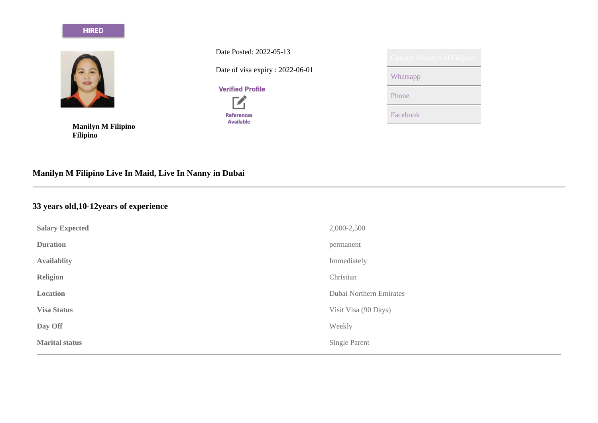## **HIRED**



**Manilyn M Filipino Filipino**

Date Posted: 2022-05-13 Date of visa expiry : 2022-06-01

**Verified Profile** 



| <b>Contact Manilyn M Filipino</b> |
|-----------------------------------|
| Whatsapp                          |
| Phone                             |
| Facebook                          |

# **Manilyn M Filipino Live In Maid, Live In Nanny in Dubai**

# **33 years old,10-12years of experience**

| <b>Salary Expected</b> | 2,000-2,500             |
|------------------------|-------------------------|
| <b>Duration</b>        | permanent               |
| <b>Availablity</b>     | Immediately             |
| <b>Religion</b>        | Christian               |
| Location               | Dubai Northern Emirates |
| <b>Visa Status</b>     | Visit Visa (90 Days)    |
| Day Off                | Weekly                  |
| <b>Marital status</b>  | Single Parent           |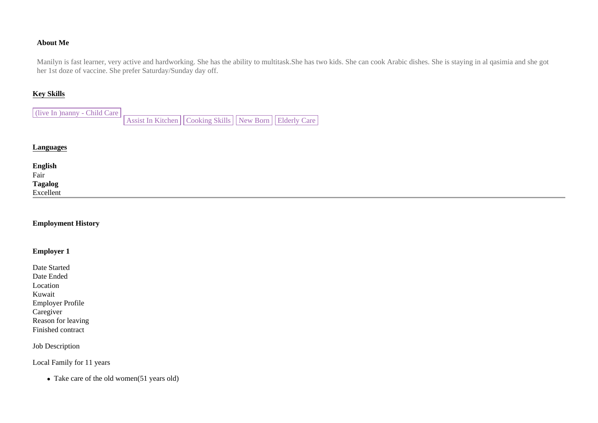## **About Me**

Manilyn is fast learner, very active and hardworking. She has the ability to multitask.She has two kids. She can cook Arabic dishes. She is staying in al qasimia and she got her 1st doze of vaccine. She prefer Saturday/Sunday day off.

#### **Key Skills**

(live In )nanny - Child Care Assist In Kitchen | Cooking Skills | New Born | Elderly Care

## **Languages**

| <b>English</b><br>Fair<br><b>Tagalog</b><br>Excellent |  |
|-------------------------------------------------------|--|

## **Employment History**

### **Employer 1**

Date Started Date Ended Location Kuwait Employer Profile Caregiver Reason for leaving Finished contract

Job Description

Local Family for 11 years

• Take care of the old women(51 years old)